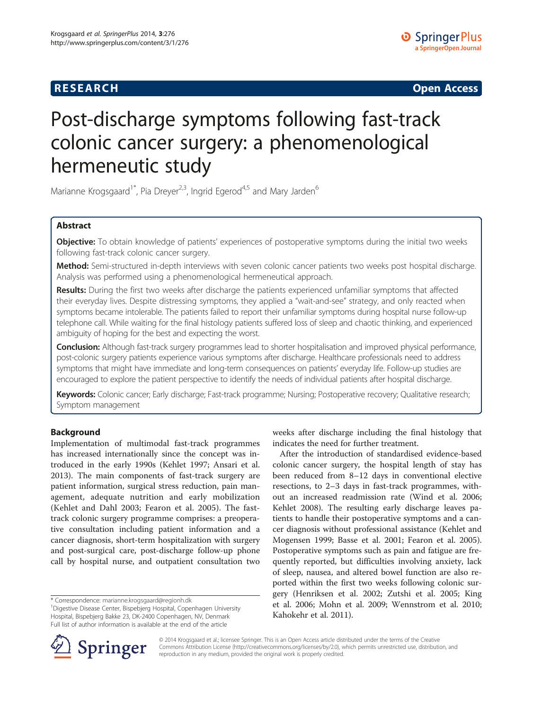# **RESEARCH CHINESE ARCH CHINESE ARCH CHINESE ARCH <b>CHINESE ARCH**

# Post-discharge symptoms following fast-track colonic cancer surgery: a phenomenological hermeneutic study

Marianne Krogsgaard<sup>1\*</sup>, Pia Dreyer<sup>2,3</sup>, Ingrid Egerod<sup>4,5</sup> and Mary Jarden<sup>6</sup>

# Abstract

Objective: To obtain knowledge of patients' experiences of postoperative symptoms during the initial two weeks following fast-track colonic cancer surgery.

Method: Semi-structured in-depth interviews with seven colonic cancer patients two weeks post hospital discharge. Analysis was performed using a phenomenological hermeneutical approach.

Results: During the first two weeks after discharge the patients experienced unfamiliar symptoms that affected their everyday lives. Despite distressing symptoms, they applied a "wait-and-see" strategy, and only reacted when symptoms became intolerable. The patients failed to report their unfamiliar symptoms during hospital nurse follow-up telephone call. While waiting for the final histology patients suffered loss of sleep and chaotic thinking, and experienced ambiguity of hoping for the best and expecting the worst.

**Conclusion:** Although fast-track surgery programmes lead to shorter hospitalisation and improved physical performance, post-colonic surgery patients experience various symptoms after discharge. Healthcare professionals need to address symptoms that might have immediate and long-term consequences on patients' everyday life. Follow-up studies are encouraged to explore the patient perspective to identify the needs of individual patients after hospital discharge.

Keywords: Colonic cancer; Early discharge; Fast-track programme; Nursing; Postoperative recovery; Qualitative research; Symptom management

# Background

Implementation of multimodal fast-track programmes has increased internationally since the concept was introduced in the early 1990s (Kehlet [1997;](#page-7-0) Ansari et al. [2013](#page-6-0)). The main components of fast-track surgery are patient information, surgical stress reduction, pain management, adequate nutrition and early mobilization (Kehlet and Dahl [2003;](#page-7-0) Fearon et al. [2005\)](#page-6-0). The fasttrack colonic surgery programme comprises: a preoperative consultation including patient information and a cancer diagnosis, short-term hospitalization with surgery and post-surgical care, post-discharge follow-up phone call by hospital nurse, and outpatient consultation two



After the introduction of standardised evidence-based colonic cancer surgery, the hospital length of stay has been reduced from 8–12 days in conventional elective resections, to 2–3 days in fast-track programmes, without an increased readmission rate (Wind et al. [2006](#page-7-0); Kehlet [2008\)](#page-7-0). The resulting early discharge leaves patients to handle their postoperative symptoms and a cancer diagnosis without professional assistance (Kehlet and Mogensen [1999](#page-7-0); Basse et al. [2001](#page-6-0); Fearon et al. [2005](#page-6-0)). Postoperative symptoms such as pain and fatigue are frequently reported, but difficulties involving anxiety, lack of sleep, nausea, and altered bowel function are also reported within the first two weeks following colonic surgery (Henriksen et al. [2002](#page-6-0); Zutshi et al. [2005;](#page-7-0) King et al. [2006;](#page-7-0) Mohn et al. [2009](#page-7-0); Wennstrom et al. [2010](#page-7-0); Kahokehr et al. [2011\)](#page-7-0).



© 2014 Krogsgaard et al.; licensee Springer. This is an Open Access article distributed under the terms of the Creative Commons Attribution License (<http://creativecommons.org/licenses/by/2.0>), which permits unrestricted use, distribution, and reproduction in any medium, provided the original work is properly credited.

<sup>\*</sup> Correspondence: [marianne.krogsgaard@regionh.dk](mailto:marianne.krogsgaard@regionh.dk) <sup>1</sup>

<sup>&</sup>lt;sup>1</sup>Digestive Disease Center, Bispebjerg Hospital, Copenhagen University Hospital, Bispebjerg Bakke 23, DK-2400 Copenhagen, NV, Denmark Full list of author information is available at the end of the article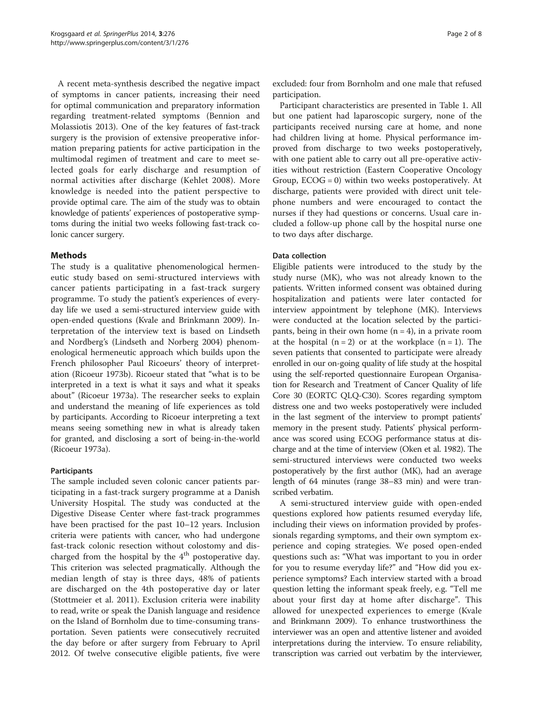A recent meta-synthesis described the negative impact of symptoms in cancer patients, increasing their need for optimal communication and preparatory information regarding treatment-related symptoms (Bennion and Molassiotis [2013](#page-6-0)). One of the key features of fast-track surgery is the provision of extensive preoperative information preparing patients for active participation in the multimodal regimen of treatment and care to meet selected goals for early discharge and resumption of normal activities after discharge (Kehlet [2008\)](#page-7-0). More knowledge is needed into the patient perspective to provide optimal care. The aim of the study was to obtain knowledge of patients' experiences of postoperative symptoms during the initial two weeks following fast-track colonic cancer surgery.

#### Methods

The study is a qualitative phenomenological hermeneutic study based on semi-structured interviews with cancer patients participating in a fast-track surgery programme. To study the patient's experiences of everyday life we used a semi-structured interview guide with open-ended questions (Kvale and Brinkmann [2009\)](#page-7-0). Interpretation of the interview text is based on Lindseth and Nordberg's (Lindseth and Norberg [2004\)](#page-7-0) phenomenological hermeneutic approach which builds upon the French philosopher Paul Ricoeurs' theory of interpretation (Ricoeur [1973b](#page-7-0)). Ricoeur stated that "what is to be interpreted in a text is what it says and what it speaks about" (Ricoeur [1973a](#page-7-0)). The researcher seeks to explain and understand the meaning of life experiences as told by participants. According to Ricoeur interpreting a text means seeing something new in what is already taken for granted, and disclosing a sort of being-in-the-world (Ricoeur [1973a\)](#page-7-0).

# Participants

The sample included seven colonic cancer patients participating in a fast-track surgery programme at a Danish University Hospital. The study was conducted at the Digestive Disease Center where fast-track programmes have been practised for the past 10–12 years. Inclusion criteria were patients with cancer, who had undergone fast-track colonic resection without colostomy and discharged from the hospital by the  $4<sup>th</sup>$  postoperative day. This criterion was selected pragmatically. Although the median length of stay is three days, 48% of patients are discharged on the 4th postoperative day or later (Stottmeier et al. [2011](#page-7-0)). Exclusion criteria were inability to read, write or speak the Danish language and residence on the Island of Bornholm due to time-consuming transportation. Seven patients were consecutively recruited the day before or after surgery from February to April 2012. Of twelve consecutive eligible patients, five were excluded: four from Bornholm and one male that refused participation.

Participant characteristics are presented in Table [1](#page-2-0). All but one patient had laparoscopic surgery, none of the participants received nursing care at home, and none had children living at home. Physical performance improved from discharge to two weeks postoperatively, with one patient able to carry out all pre-operative activities without restriction (Eastern Cooperative Oncology Group, ECOG = 0) within two weeks postoperatively. At discharge, patients were provided with direct unit telephone numbers and were encouraged to contact the nurses if they had questions or concerns. Usual care included a follow-up phone call by the hospital nurse one to two days after discharge.

#### Data collection

Eligible patients were introduced to the study by the study nurse (MK), who was not already known to the patients. Written informed consent was obtained during hospitalization and patients were later contacted for interview appointment by telephone (MK). Interviews were conducted at the location selected by the participants, being in their own home  $(n = 4)$ , in a private room at the hospital  $(n = 2)$  or at the workplace  $(n = 1)$ . The seven patients that consented to participate were already enrolled in our on-going quality of life study at the hospital using the self-reported questionnaire European Organisation for Research and Treatment of Cancer Quality of life Core 30 (EORTC QLQ-C30). Scores regarding symptom distress one and two weeks postoperatively were included in the last segment of the interview to prompt patients' memory in the present study. Patients' physical performance was scored using ECOG performance status at discharge and at the time of interview (Oken et al. [1982\)](#page-7-0). The semi-structured interviews were conducted two weeks postoperatively by the first author (MK), had an average length of 64 minutes (range 38–83 min) and were transcribed verbatim.

A semi-structured interview guide with open-ended questions explored how patients resumed everyday life, including their views on information provided by professionals regarding symptoms, and their own symptom experience and coping strategies. We posed open-ended questions such as: "What was important to you in order for you to resume everyday life?" and "How did you experience symptoms? Each interview started with a broad question letting the informant speak freely, e.g. "Tell me about your first day at home after discharge". This allowed for unexpected experiences to emerge (Kvale and Brinkmann [2009\)](#page-7-0). To enhance trustworthiness the interviewer was an open and attentive listener and avoided interpretations during the interview. To ensure reliability, transcription was carried out verbatim by the interviewer,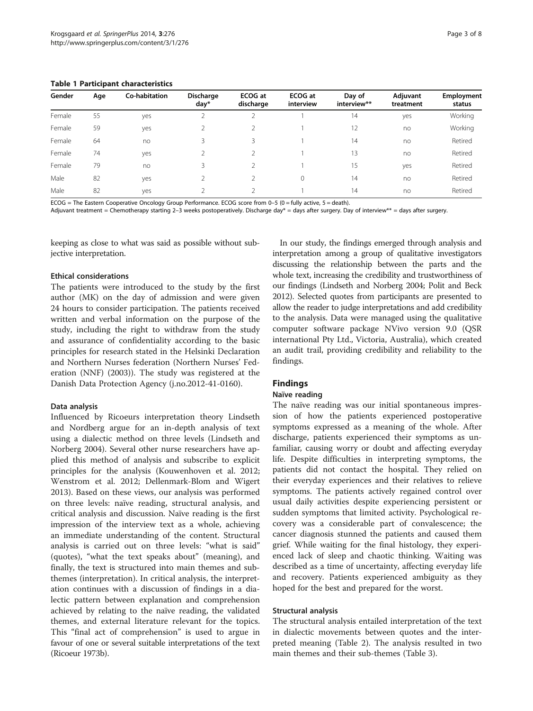<span id="page-2-0"></span>Table 1 Participant characteristics

| Gender | Age | Co-habitation | <b>Discharge</b><br>$day*$ | ECOG at<br>discharge | ECOG at<br>interview | Day of<br>interview** | Adjuvant<br>treatment | Employment<br>status |
|--------|-----|---------------|----------------------------|----------------------|----------------------|-----------------------|-----------------------|----------------------|
| Female | 55  | yes           | 2                          |                      |                      | 14                    | yes                   | Working              |
| Female | 59  | yes           | 2                          |                      |                      | 12                    | no                    | Working              |
| Female | 64  | no            | 3                          |                      |                      | 14                    | no                    | Retired              |
| Female | 74  | yes           |                            |                      |                      | 13                    | no                    | Retired              |
| Female | 79  | no            | 3                          |                      |                      | 15                    | yes                   | Retired              |
| Male   | 82  | yes           | 2                          |                      | 0                    | 14                    | no                    | Retired              |
| Male   | 82  | yes           |                            |                      |                      | 14                    | no                    | Retired              |

ECOG = The Eastern Cooperative Oncology Group Performance. ECOG score from 0–5 (0 = fully active, 5 = death).

Adjuvant treatment = Chemotherapy starting 2-3 weeks postoperatively. Discharge day\* = days after surgery. Day of interview\*\* = days after surgery.

keeping as close to what was said as possible without subjective interpretation.

#### Ethical considerations

The patients were introduced to the study by the first author (MK) on the day of admission and were given 24 hours to consider participation. The patients received written and verbal information on the purpose of the study, including the right to withdraw from the study and assurance of confidentiality according to the basic principles for research stated in the Helsinki Declaration and Northern Nurses federation (Northern Nurses' Federation (NNF) ([2003](#page-7-0))). The study was registered at the Danish Data Protection Agency (j.no.2012-41-0160).

# Data analysis

Influenced by Ricoeurs interpretation theory Lindseth and Nordberg argue for an in-depth analysis of text using a dialectic method on three levels (Lindseth and Norberg [2004\)](#page-7-0). Several other nurse researchers have applied this method of analysis and subscribe to explicit principles for the analysis (Kouwenhoven et al. [2012](#page-7-0); Wenstrom et al. [2012](#page-7-0); Dellenmark-Blom and Wigert [2013](#page-6-0)). Based on these views, our analysis was performed on three levels: naïve reading, structural analysis, and critical analysis and discussion. Naïve reading is the first impression of the interview text as a whole, achieving an immediate understanding of the content. Structural analysis is carried out on three levels: "what is said" (quotes), "what the text speaks about" (meaning), and finally, the text is structured into main themes and subthemes (interpretation). In critical analysis, the interpretation continues with a discussion of findings in a dialectic pattern between explanation and comprehension achieved by relating to the naïve reading, the validated themes, and external literature relevant for the topics. This "final act of comprehension" is used to argue in favour of one or several suitable interpretations of the text (Ricoeur [1973b\)](#page-7-0).

In our study, the findings emerged through analysis and interpretation among a group of qualitative investigators discussing the relationship between the parts and the whole text, increasing the credibility and trustworthiness of our findings (Lindseth and Norberg [2004](#page-7-0); Polit and Beck [2012\)](#page-7-0). Selected quotes from participants are presented to allow the reader to judge interpretations and add credibility to the analysis. Data were managed using the qualitative computer software package NVivo version 9.0 (QSR international Pty Ltd., Victoria, Australia), which created an audit trail, providing credibility and reliability to the findings.

# Findings

#### Naïve reading

The naïve reading was our initial spontaneous impression of how the patients experienced postoperative symptoms expressed as a meaning of the whole. After discharge, patients experienced their symptoms as unfamiliar, causing worry or doubt and affecting everyday life. Despite difficulties in interpreting symptoms, the patients did not contact the hospital. They relied on their everyday experiences and their relatives to relieve symptoms. The patients actively regained control over usual daily activities despite experiencing persistent or sudden symptoms that limited activity. Psychological recovery was a considerable part of convalescence; the cancer diagnosis stunned the patients and caused them grief. While waiting for the final histology, they experienced lack of sleep and chaotic thinking. Waiting was described as a time of uncertainty, affecting everyday life and recovery. Patients experienced ambiguity as they hoped for the best and prepared for the worst.

#### Structural analysis

The structural analysis entailed interpretation of the text in dialectic movements between quotes and the interpreted meaning (Table [2\)](#page-3-0). The analysis resulted in two main themes and their sub-themes (Table [3\)](#page-3-0).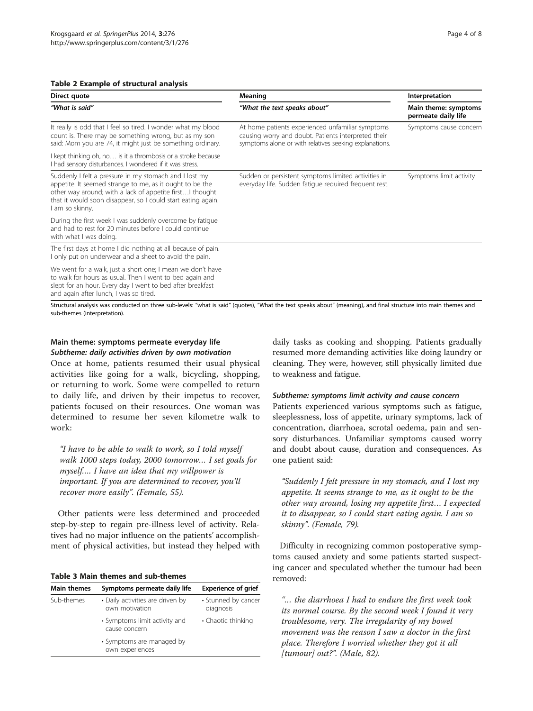#### <span id="page-3-0"></span>Table 2 Example of structural analysis

| Direct quote                                                                                                                                                                                                                                                     | Meaning                                                                                                                                                           | Interpretation                              |  |
|------------------------------------------------------------------------------------------------------------------------------------------------------------------------------------------------------------------------------------------------------------------|-------------------------------------------------------------------------------------------------------------------------------------------------------------------|---------------------------------------------|--|
| "What is said"                                                                                                                                                                                                                                                   | "What the text speaks about"                                                                                                                                      | Main theme: symptoms<br>permeate daily life |  |
| It really is odd that I feel so tired. I wonder what my blood<br>count is. There may be something wrong, but as my son<br>said: Mom you are 74, it might just be something ordinary.                                                                             | At home patients experienced unfamiliar symptoms<br>causing worry and doubt. Patients interpreted their<br>symptoms alone or with relatives seeking explanations. | Symptoms cause concern                      |  |
| l kept thinking oh, no is it a thrombosis or a stroke because<br>had sensory disturbances. I wondered if it was stress.                                                                                                                                          |                                                                                                                                                                   |                                             |  |
| Suddenly I felt a pressure in my stomach and I lost my<br>appetite. It seemed strange to me, as it ought to be the<br>other way around; with a lack of appetite first I thought<br>that it would soon disappear, so I could start eating again.<br>am so skinny. | Sudden or persistent symptoms limited activities in<br>everyday life. Sudden fatigue required frequent rest.                                                      | Symptoms limit activity                     |  |
| During the first week I was suddenly overcome by fatigue<br>and had to rest for 20 minutes before I could continue<br>with what I was doing.                                                                                                                     |                                                                                                                                                                   |                                             |  |
| The first days at home I did nothing at all because of pain.<br>only put on underwear and a sheet to avoid the pain.                                                                                                                                             |                                                                                                                                                                   |                                             |  |
| We went for a walk, just a short one; I mean we don't have<br>to walk for hours as usual. Then I went to bed again and<br>slept for an hour. Every day I went to bed after breakfast<br>and again after lunch, I was so tired.                                   |                                                                                                                                                                   |                                             |  |

Structural analysis was conducted on three sub-levels: "what is said" (quotes), "What the text speaks about" (meaning), and final structure into main themes and sub-themes (interpretation).

# Main theme: symptoms permeate everyday life Subtheme: daily activities driven by own motivation

Once at home, patients resumed their usual physical activities like going for a walk, bicycling, shopping, or returning to work. Some were compelled to return to daily life, and driven by their impetus to recover, patients focused on their resources. One woman was determined to resume her seven kilometre walk to work:

"I have to be able to walk to work, so I told myself walk 1000 steps today, 2000 tomorrow… I set goals for myself…. I have an idea that my willpower is important. If you are determined to recover, you'll recover more easily". (Female, 55).

Other patients were less determined and proceeded step-by-step to regain pre-illness level of activity. Relatives had no major influence on the patients' accomplishment of physical activities, but instead they helped with

Table 3 Main themes and sub-themes

| <b>Main themes</b> | Symptoms permeate daily life                       | <b>Experience of grief</b>       |
|--------------------|----------------------------------------------------|----------------------------------|
| Sub-themes         | • Daily activities are driven by<br>own motivation | • Stunned by cancer<br>diagnosis |
|                    | • Symptoms limit activity and<br>cause concern     | • Chaotic thinking               |
|                    | • Symptoms are managed by<br>own experiences       |                                  |

daily tasks as cooking and shopping. Patients gradually resumed more demanding activities like doing laundry or cleaning. They were, however, still physically limited due to weakness and fatigue.

#### Subtheme: symptoms limit activity and cause concern

Patients experienced various symptoms such as fatigue, sleeplessness, loss of appetite, urinary symptoms, lack of concentration, diarrhoea, scrotal oedema, pain and sensory disturbances. Unfamiliar symptoms caused worry and doubt about cause, duration and consequences. As one patient said:

"Suddenly I felt pressure in my stomach, and I lost my appetite. It seems strange to me, as it ought to be the other way around, losing my appetite first… I expected it to disappear, so I could start eating again. I am so skinny". (Female, 79).

Difficulty in recognizing common postoperative symptoms caused anxiety and some patients started suspecting cancer and speculated whether the tumour had been removed:

"… the diarrhoea I had to endure the first week took its normal course. By the second week I found it very troublesome, very. The irregularity of my bowel movement was the reason I saw a doctor in the first place. Therefore I worried whether they got it all [tumour] out?". (Male, 82).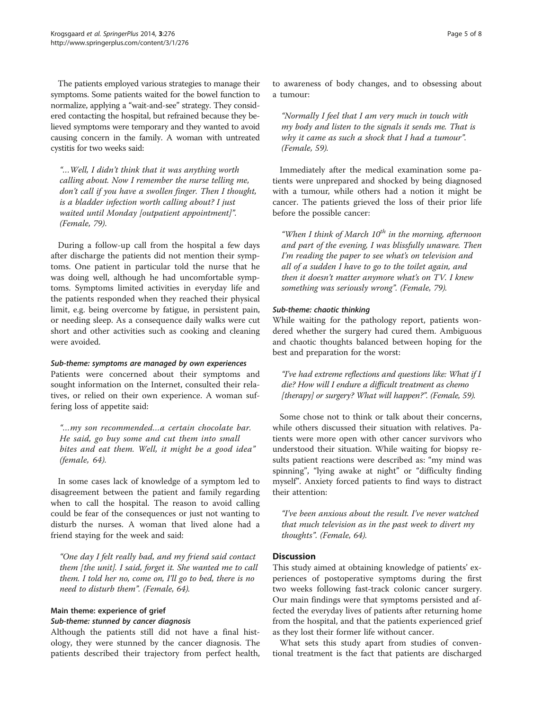The patients employed various strategies to manage their symptoms. Some patients waited for the bowel function to normalize, applying a "wait-and-see" strategy. They considered contacting the hospital, but refrained because they believed symptoms were temporary and they wanted to avoid causing concern in the family. A woman with untreated cystitis for two weeks said:

"…Well, I didn't think that it was anything worth calling about. Now I remember the nurse telling me, don't call if you have a swollen finger. Then I thought, is a bladder infection worth calling about? I just waited until Monday [outpatient appointment]". (Female, 79).

During a follow-up call from the hospital a few days after discharge the patients did not mention their symptoms. One patient in particular told the nurse that he was doing well, although he had uncomfortable symptoms. Symptoms limited activities in everyday life and the patients responded when they reached their physical limit, e.g. being overcome by fatigue, in persistent pain, or needing sleep. As a consequence daily walks were cut short and other activities such as cooking and cleaning were avoided.

#### Sub-theme: symptoms are managed by own experiences

Patients were concerned about their symptoms and sought information on the Internet, consulted their relatives, or relied on their own experience. A woman suffering loss of appetite said:

"…my son recommended…a certain chocolate bar. He said, go buy some and cut them into small bites and eat them. Well, it might be a good idea" (female, 64).

In some cases lack of knowledge of a symptom led to disagreement between the patient and family regarding when to call the hospital. The reason to avoid calling could be fear of the consequences or just not wanting to disturb the nurses. A woman that lived alone had a friend staying for the week and said:

"One day I felt really bad, and my friend said contact them [the unit]. I said, forget it. She wanted me to call them. I told her no, come on, I'll go to bed, there is no need to disturb them". (Female, 64).

# Main theme: experience of grief Sub-theme: stunned by cancer diagnosis

Although the patients still did not have a final histology, they were stunned by the cancer diagnosis. The patients described their trajectory from perfect health, to awareness of body changes, and to obsessing about a tumour:

"Normally I feel that I am very much in touch with my body and listen to the signals it sends me. That is why it came as such a shock that I had a tumour". (Female, 59).

Immediately after the medical examination some patients were unprepared and shocked by being diagnosed with a tumour, while others had a notion it might be cancer. The patients grieved the loss of their prior life before the possible cancer:

"When I think of March  $10^{th}$  in the morning, afternoon and part of the evening, I was blissfully unaware. Then I'm reading the paper to see what's on television and all of a sudden I have to go to the toilet again, and then it doesn't matter anymore what's on TV. I knew something was seriously wrong". (Female, 79).

#### Sub-theme: chaotic thinking

While waiting for the pathology report, patients wondered whether the surgery had cured them. Ambiguous and chaotic thoughts balanced between hoping for the best and preparation for the worst:

"I've had extreme reflections and questions like: What if I die? How will I endure a difficult treatment as chemo [therapy] or surgery? What will happen?". (Female, 59).

Some chose not to think or talk about their concerns, while others discussed their situation with relatives. Patients were more open with other cancer survivors who understood their situation. While waiting for biopsy results patient reactions were described as: "my mind was spinning", "lying awake at night" or "difficulty finding myself". Anxiety forced patients to find ways to distract their attention:

"I've been anxious about the result. I've never watched that much television as in the past week to divert my thoughts". (Female, 64).

#### **Discussion**

This study aimed at obtaining knowledge of patients' experiences of postoperative symptoms during the first two weeks following fast-track colonic cancer surgery. Our main findings were that symptoms persisted and affected the everyday lives of patients after returning home from the hospital, and that the patients experienced grief as they lost their former life without cancer.

What sets this study apart from studies of conventional treatment is the fact that patients are discharged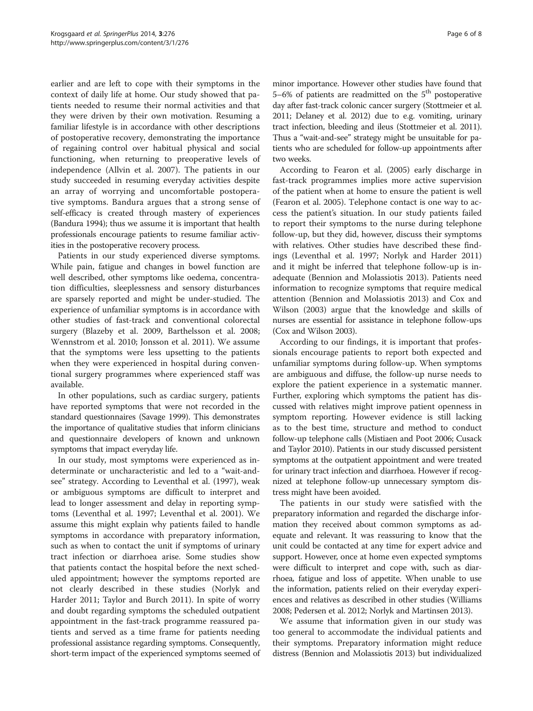earlier and are left to cope with their symptoms in the context of daily life at home. Our study showed that patients needed to resume their normal activities and that they were driven by their own motivation. Resuming a familiar lifestyle is in accordance with other descriptions of postoperative recovery, demonstrating the importance of regaining control over habitual physical and social functioning, when returning to preoperative levels of independence (Allvin et al. [2007\)](#page-6-0). The patients in our study succeeded in resuming everyday activities despite an array of worrying and uncomfortable postoperative symptoms. Bandura argues that a strong sense of self-efficacy is created through mastery of experiences (Bandura [1994\)](#page-6-0); thus we assume it is important that health professionals encourage patients to resume familiar activities in the postoperative recovery process.

Patients in our study experienced diverse symptoms. While pain, fatigue and changes in bowel function are well described, other symptoms like oedema, concentration difficulties, sleeplessness and sensory disturbances are sparsely reported and might be under-studied. The experience of unfamiliar symptoms is in accordance with other studies of fast-track and conventional colorectal surgery (Blazeby et al. [2009,](#page-6-0) Barthelsson et al. [2008](#page-6-0); Wennstrom et al. [2010;](#page-7-0) Jonsson et al. [2011\)](#page-6-0). We assume that the symptoms were less upsetting to the patients when they were experienced in hospital during conventional surgery programmes where experienced staff was available.

In other populations, such as cardiac surgery, patients have reported symptoms that were not recorded in the standard questionnaires (Savage [1999](#page-7-0)). This demonstrates the importance of qualitative studies that inform clinicians and questionnaire developers of known and unknown symptoms that impact everyday life.

In our study, most symptoms were experienced as indeterminate or uncharacteristic and led to a "wait-andsee" strategy. According to Leventhal et al. ([1997](#page-7-0)), weak or ambiguous symptoms are difficult to interpret and lead to longer assessment and delay in reporting symptoms (Leventhal et al. [1997](#page-7-0); Leventhal et al. [2001\)](#page-7-0). We assume this might explain why patients failed to handle symptoms in accordance with preparatory information, such as when to contact the unit if symptoms of urinary tract infection or diarrhoea arise. Some studies show that patients contact the hospital before the next scheduled appointment; however the symptoms reported are not clearly described in these studies (Norlyk and Harder [2011;](#page-7-0) Taylor and Burch [2011\)](#page-7-0). In spite of worry and doubt regarding symptoms the scheduled outpatient appointment in the fast-track programme reassured patients and served as a time frame for patients needing professional assistance regarding symptoms. Consequently, short-term impact of the experienced symptoms seemed of

minor importance. However other studies have found that 5–6% of patients are readmitted on the  $5<sup>th</sup>$  postoperative day after fast-track colonic cancer surgery (Stottmeier et al. [2011;](#page-7-0) Delaney et al. [2012](#page-6-0)) due to e.g. vomiting, urinary tract infection, bleeding and ileus (Stottmeier et al. [2011](#page-7-0)). Thus a "wait-and-see" strategy might be unsuitable for patients who are scheduled for follow-up appointments after two weeks.

According to Fearon et al. [\(2005](#page-6-0)) early discharge in fast-track programmes implies more active supervision of the patient when at home to ensure the patient is well (Fearon et al. [2005](#page-6-0)). Telephone contact is one way to access the patient's situation. In our study patients failed to report their symptoms to the nurse during telephone follow-up, but they did, however, discuss their symptoms with relatives. Other studies have described these findings (Leventhal et al. [1997;](#page-7-0) Norlyk and Harder [2011](#page-7-0)) and it might be inferred that telephone follow-up is inadequate (Bennion and Molassiotis [2013\)](#page-6-0). Patients need information to recognize symptoms that require medical attention (Bennion and Molassiotis [2013](#page-6-0)) and Cox and Wilson [\(2003\)](#page-6-0) argue that the knowledge and skills of nurses are essential for assistance in telephone follow-ups (Cox and Wilson [2003\)](#page-6-0).

According to our findings, it is important that professionals encourage patients to report both expected and unfamiliar symptoms during follow-up. When symptoms are ambiguous and diffuse, the follow-up nurse needs to explore the patient experience in a systematic manner. Further, exploring which symptoms the patient has discussed with relatives might improve patient openness in symptom reporting. However evidence is still lacking as to the best time, structure and method to conduct follow-up telephone calls (Mistiaen and Poot [2006;](#page-7-0) Cusack and Taylor [2010\)](#page-6-0). Patients in our study discussed persistent symptoms at the outpatient appointment and were treated for urinary tract infection and diarrhoea. However if recognized at telephone follow-up unnecessary symptom distress might have been avoided.

The patients in our study were satisfied with the preparatory information and regarded the discharge information they received about common symptoms as adequate and relevant. It was reassuring to know that the unit could be contacted at any time for expert advice and support. However, once at home even expected symptoms were difficult to interpret and cope with, such as diarrhoea, fatigue and loss of appetite. When unable to use the information, patients relied on their everyday experiences and relatives as described in other studies (Williams [2008](#page-7-0); Pedersen et al. [2012](#page-7-0); Norlyk and Martinsen [2013](#page-7-0)).

We assume that information given in our study was too general to accommodate the individual patients and their symptoms. Preparatory information might reduce distress (Bennion and Molassiotis [2013](#page-6-0)) but individualized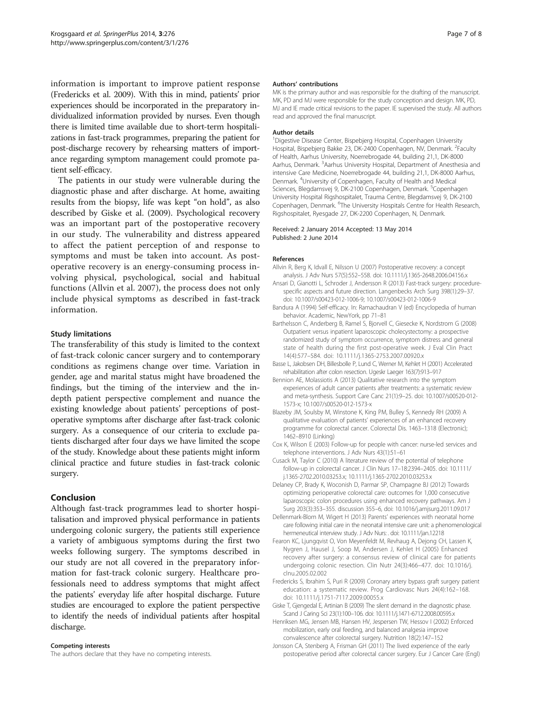<span id="page-6-0"></span>information is important to improve patient response (Fredericks et al. 2009). With this in mind, patients' prior experiences should be incorporated in the preparatory individualized information provided by nurses. Even though there is limited time available due to short-term hospitalizations in fast-track programmes, preparing the patient for post-discharge recovery by rehearsing matters of importance regarding symptom management could promote patient self-efficacy.

The patients in our study were vulnerable during the diagnostic phase and after discharge. At home, awaiting results from the biopsy, life was kept "on hold", as also described by Giske et al. (2009). Psychological recovery was an important part of the postoperative recovery in our study. The vulnerability and distress appeared to affect the patient perception of and response to symptoms and must be taken into account. As postoperative recovery is an energy-consuming process involving physical, psychological, social and habitual functions (Allvin et al. 2007), the process does not only include physical symptoms as described in fast-track information.

#### Study limitations

The transferability of this study is limited to the context of fast-track colonic cancer surgery and to contemporary conditions as regimens change over time. Variation in gender, age and marital status might have broadened the findings, but the timing of the interview and the indepth patient perspective complement and nuance the existing knowledge about patients' perceptions of postoperative symptoms after discharge after fast-track colonic surgery. As a consequence of our criteria to exclude patients discharged after four days we have limited the scope of the study. Knowledge about these patients might inform clinical practice and future studies in fast-track colonic surgery.

#### Conclusion

Although fast-track programmes lead to shorter hospitalisation and improved physical performance in patients undergoing colonic surgery, the patients still experience a variety of ambiguous symptoms during the first two weeks following surgery. The symptoms described in our study are not all covered in the preparatory information for fast-track colonic surgery. Healthcare professionals need to address symptoms that might affect the patients' everyday life after hospital discharge. Future studies are encouraged to explore the patient perspective to identify the needs of individual patients after hospital discharge.

#### Competing interests

The authors declare that they have no competing interests.

#### Authors' contributions

MK is the primary author and was responsible for the drafting of the manuscript. MK, PD and MJ were responsible for the study conception and design. MK, PD, MJ and IE made critical revisions to the paper. IE supervised the study. All authors read and approved the final manuscript.

#### Author details

<sup>1</sup>Digestive Disease Center, Bispebjerg Hospital, Copenhagen University Hospital, Bispebjerg Bakke 23, DK-2400 Copenhagen, NV, Denmark. <sup>2</sup>Faculty of Health, Aarhus University, Noerrebrogade 44, building 21,1, DK-8000 Aarhus, Denmark. <sup>3</sup> Aarhus University Hospital, Department of Anesthesia and intensive Care Medicine, Noerrebrogade 44, building 21,1, DK-8000 Aarhus, Denmark. <sup>4</sup>University of Copenhagen, Faculty of Health and Medical Sciences, Blegdamsvej 9, DK-2100 Copenhagen, Denmark. <sup>5</sup>Copenhagen University Hospital Rigshospitalet, Trauma Centre, Blegdamsvej 9, DK-2100 Copenhagen, Denmark. <sup>6</sup>The University Hospitals Centre for Health Research, Rigshospitalet, Ryesgade 27, DK-2200 Copenhagen, N, Denmark.

#### Received: 2 January 2014 Accepted: 13 May 2014 Published: 2 June 2014

#### References

- Allvin R, Berg K, Idvall E, Nilsson U (2007) Postoperative recovery: a concept analysis. J Adv Nurs 57(5):552–558. doi: 10.1111/j.1365-2648.2006.04156.x
- Ansari D, Gianotti L, Schroder J, Andersson R (2013) Fast-track surgery: procedurespecific aspects and future direction. Langenbecks Arch Surg 398(1):29–37. doi: 10.1007/s00423-012-1006-9; 10.1007/s00423-012-1006-9
- Bandura A (1994) Self-efficacy. In: Ramachaudran V (ed) Encyclopedia of human behavior. Academic, NewYork, pp 71–81
- Barthelsson C, Anderberg B, Ramel S, Bjorvell C, Giesecke K, Nordstrom G (2008) Outpatient versus inpatient laparoscopic cholecystectomy: a prospective randomized study of symptom occurrence, symptom distress and general state of health during the first post-operative week. J Eval Clin Pract 14(4):577–584. doi: 10.1111/j.1365-2753.2007.00920.x
- Basse L, Jakobsen DH, Billesbolle P, Lund C, Werner M, Kehlet H (2001) Accelerated rehabilitation after colon resection. Ugeskr Laeger 163(7):913–917
- Bennion AE, Molassiotis A (2013) Qualitative research into the symptom experiences of adult cancer patients after treatments: a systematic review and meta-synthesis. Support Care Canc 21(1):9–25. doi: 10.1007/s00520-012- 1573-x; 10.1007/s00520-012-1573-x
- Blazeby JM, Soulsby M, Winstone K, King PM, Bulley S, Kennedy RH (2009) A qualitative evaluation of patients' experiences of an enhanced recovery programme for colorectal cancer. Colorectal Dis. 1463–1318 (Electronic); 1462–8910 (Linking)
- Cox K, Wilson E (2003) Follow-up for people with cancer: nurse-led services and telephone interventions. J Adv Nurs 43(1):51–61
- Cusack M, Taylor C (2010) A literature review of the potential of telephone follow-up in colorectal cancer. J Clin Nurs 17–18:2394–2405. doi: 10.1111/ j.1365-2702.2010.03253.x; 10.1111/j.1365-2702.2010.03253.x
- Delaney CP, Brady K, Woconish D, Parmar SP, Champagne BJ (2012) Towards optimizing perioperative colorectal care: outcomes for 1,000 consecutive laparoscopic colon procedures using enhanced recovery pathways. Am J Surg 203(3):353–355. discussion 355–6, doi: 10.1016/j.amjsurg.2011.09.017
- Dellenmark-Blom M, Wigert H (2013) Parents' experiences with neonatal home care following initial care in the neonatal intensive care unit: a phenomenological hermeneutical interview study. J Adv Nurs: . doi: 10.1111/jan.12218
- Fearon KC, Ljungqvist O, Von Meyenfeldt M, Revhaug A, Dejong CH, Lassen K, Nygren J, Hausel J, Soop M, Andersen J, Kehlet H (2005) Enhanced recovery after surgery: a consensus review of clinical care for patients undergoing colonic resection. Clin Nutr 24(3):466–477. doi: 10.1016/j. clnu.2005.02.002
- Fredericks S, Ibrahim S, Puri R (2009) Coronary artery bypass graft surgery patient education: a systematic review. Prog Cardiovasc Nurs 24(4):162–168. doi: 10.1111/j.1751-7117.2009.00055.x
- Giske T, Gjengedal E, Artinian B (2009) The silent demand in the diagnostic phase. Scand J Caring Sci 23(1):100–106. doi: 10.1111/j.1471-6712.2008.00595.x
- Henriksen MG, Jensen MB, Hansen HV, Jespersen TW, Hessov I (2002) Enforced mobilization, early oral feeding, and balanced analgesia improve convalescence after colorectal surgery. Nutrition 18(2):147–152
- Jonsson CA, Stenberg A, Frisman GH (2011) The lived experience of the early postoperative period after colorectal cancer surgery. Eur J Cancer Care (Engl)